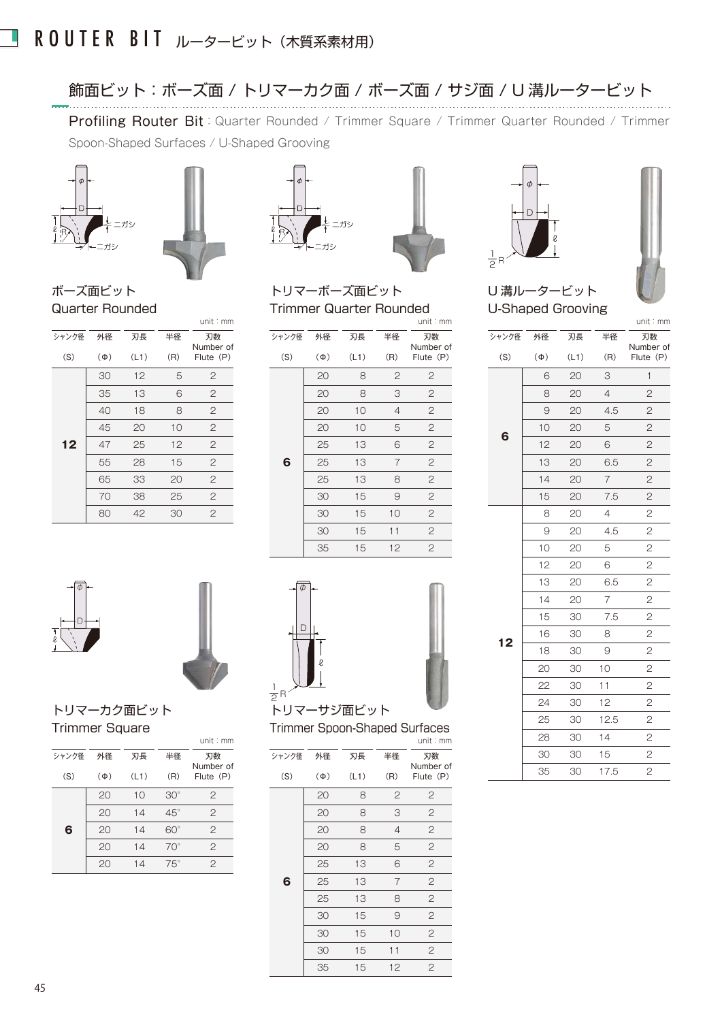## 飾面ビット:ボーズ面 / トリマーカク面 / ボーズ面 / サジ面 / U 溝ルータービット

Profiling Router Bit: Quarter Rounded / Trimmer Square / Trimmer Quarter Rounded / Trimmer Spoon-Shaped Surfaces / U-Shaped Grooving



Ţ











U 溝ルータービット U-Shaped Grooving

unit:mm

|       |          |      |                | $UIII \cdot IIIII$ |
|-------|----------|------|----------------|--------------------|
| シャンク径 | 外径       | 刃長   | 半径             | 刃数<br>Number of    |
| (S)   | $(\Phi)$ | (L1) | (R)            | Flute (P)          |
|       | 6        | 20   | 3              | $\mathbf{1}$       |
|       | 8        | 20   | $\overline{4}$ | $\overline{c}$     |
|       | 9        | 20   | 4.5            | $\overline{2}$     |
| 6     | 10       | 20   | 5              | $\overline{c}$     |
|       | 12       | 20   | 6              | $\mathbf{2}$       |
|       | 13       | 20   | 6.5            | $\overline{c}$     |
|       | 14       | 20   | $\overline{7}$ | $\overline{c}$     |
|       | 15       | 20   | 7.5            | $\overline{c}$     |
|       | 8        | 20   | $\overline{4}$ | $\overline{c}$     |
|       | 9        | 20   | 4.5            | $\mathbf{2}$       |
|       | 10       | 20   | 5              | $\overline{c}$     |
|       | 12       | 20   | 6              | $\overline{c}$     |
|       | 13       | 20   | 6.5            | $\mathbf{2}$       |
|       | 14       | 20   | $\overline{7}$ | $\mathbf{2}$       |
|       | 15       | 30   | 7.5            | $\overline{c}$     |
| 12    | 16       | 30   | 8              | $\overline{c}$     |
|       | 18       | 30   | 9              | $\overline{c}$     |
|       | 20       | 30   | 10             | $\mathbf{2}$       |
|       | 22       | 30   | 11             | $\mathbf{2}$       |
|       | 24       | 30   | 12             | $\overline{c}$     |
|       | 25       | 30   | 12.5           | $\overline{c}$     |
|       | 28       | 30   | 14             | $\overline{2}$     |
|       | 30       | 30   | 15             | $\mathbf{2}$       |
|       | 35       | 30   | 17.5           | $\mathbf{2}$       |
|       |          |      |                |                    |

ボーズ面ビット Quarter Rounded

| 半径<br>シャンク径<br>外径<br>刃長<br>刃数<br>Number of<br>(S)<br>(L1)<br>$(\Phi)$<br>(R)<br>Flute (P)<br>$\overline{c}$<br>30<br>12<br>5<br>$\overline{c}$<br>6<br>35<br>13<br>$\overline{c}$<br>8<br>40<br>18<br>$\mathfrak{D}$<br>20<br>10<br>45<br>12<br>$\mathfrak{D}$<br>25<br>12<br>47<br>$\mathfrak{D}$<br>55<br>28<br>15<br>$\mathbf{Z}$<br>65<br>20<br>33<br>$\overline{2}$<br>70<br>25<br>38 |  |  | unit: $mm$ |
|--------------------------------------------------------------------------------------------------------------------------------------------------------------------------------------------------------------------------------------------------------------------------------------------------------------------------------------------------------------------------------------------|--|--|------------|
|                                                                                                                                                                                                                                                                                                                                                                                            |  |  |            |
|                                                                                                                                                                                                                                                                                                                                                                                            |  |  |            |
|                                                                                                                                                                                                                                                                                                                                                                                            |  |  |            |
|                                                                                                                                                                                                                                                                                                                                                                                            |  |  |            |
|                                                                                                                                                                                                                                                                                                                                                                                            |  |  |            |
|                                                                                                                                                                                                                                                                                                                                                                                            |  |  |            |
|                                                                                                                                                                                                                                                                                                                                                                                            |  |  |            |
|                                                                                                                                                                                                                                                                                                                                                                                            |  |  |            |
|                                                                                                                                                                                                                                                                                                                                                                                            |  |  |            |
|                                                                                                                                                                                                                                                                                                                                                                                            |  |  |            |
| $\overline{c}$<br>80<br>30<br>42                                                                                                                                                                                                                                                                                                                                                           |  |  |            |







| 半径<br>刃数<br>外径<br>シャンク径<br>刃長<br>Number of<br>(R)<br>(S)<br>(L1)<br>$(\Phi)$<br>Flute (P)<br>20<br>2<br>$30^\circ$<br>10<br>20<br>2<br>14<br>$45^{\circ}$<br>20<br>6<br>$\mathcal{P}$<br>60°<br>14<br>20<br>2<br>$70^{\circ}$<br>14<br>$\mathfrak{D}$<br>$75^\circ$<br>20<br>14 |  |  | unit:mm |
|---------------------------------------------------------------------------------------------------------------------------------------------------------------------------------------------------------------------------------------------------------------------------------|--|--|---------|
|                                                                                                                                                                                                                                                                                 |  |  |         |
|                                                                                                                                                                                                                                                                                 |  |  |         |
|                                                                                                                                                                                                                                                                                 |  |  |         |
|                                                                                                                                                                                                                                                                                 |  |  |         |
|                                                                                                                                                                                                                                                                                 |  |  |         |
|                                                                                                                                                                                                                                                                                 |  |  |         |
|                                                                                                                                                                                                                                                                                 |  |  |         |



トリマーサジ面ビット

Trimmer Spoon-Shaped Surfaces unit:mm

|       |          |      |                | UIII: 1III1     |
|-------|----------|------|----------------|-----------------|
| シャンク径 | 外径       | 刃長   | 半径             | 刃数<br>Number of |
| (S)   | $(\Phi)$ | (L1) | (R)            | Flute (P)       |
|       | 20       | 8    | 2              | $\mathbf{2}$    |
|       | 20       | 8    | 3              | $\overline{2}$  |
|       | 20       | 8    | $\overline{4}$ | $\overline{2}$  |
|       | 20       | 8    | 5              | $\overline{2}$  |
|       | 25       | 13   | 6              | $\mathbf{2}$    |
| 6     | 25       | 13   | 7              | $\mathbf{2}$    |
|       | 25       | 13   | 8              | $\overline{c}$  |
|       | 30       | 15   | 9              | $\overline{2}$  |
|       | 30       | 15   | 10             | $\overline{c}$  |
|       | 30       | 15   | 11             | $\overline{2}$  |
|       | 35       | 15   | 12             | $\overline{2}$  |
|       |          |      |                |                 |